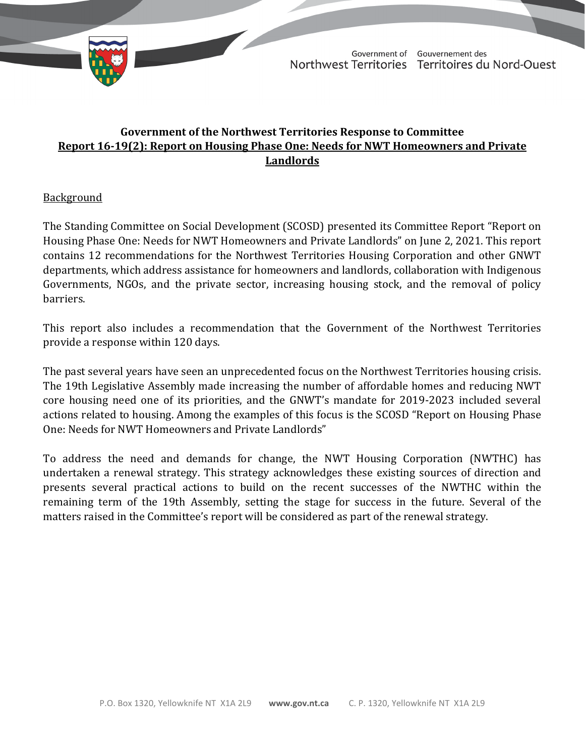

TD 455-19(2) TABLED ON NOVEMBER 22, 2021

Government of Gouvernement des Northwest Territories Territoires du Nord-Ouest

# **Government of the Northwest Territories Response to Committee Report 16-19(2): Report on Housing Phase One: Needs for NWT Homeowners and Private Landlords**

# **Background**

The Standing Committee on Social Development (SCOSD) presented its Committee Report "Report on Housing Phase One: Needs for NWT Homeowners and Private Landlords" on June 2, 2021. This report contains 12 recommendations for the Northwest Territories Housing Corporation and other GNWT departments, which address assistance for homeowners and landlords, collaboration with Indigenous Governments, NGOs, and the private sector, increasing housing stock, and the removal of policy barriers.

This report also includes a recommendation that the Government of the Northwest Territories provide a response within 120 days.

The past several years have seen an unprecedented focus on the Northwest Territories housing crisis. The 19th Legislative Assembly made increasing the number of affordable homes and reducing NWT core housing need one of its priorities, and the GNWT's mandate for 2019-2023 included several actions related to housing. Among the examples of this focus is the SCOSD "Report on Housing Phase One: Needs for NWT Homeowners and Private Landlords"

To address the need and demands for change, the NWT Housing Corporation (NWTHC) has undertaken a renewal strategy. This strategy acknowledges these existing sources of direction and presents several practical actions to build on the recent successes of the NWTHC within the remaining term of the 19th Assembly, setting the stage for success in the future. Several of the matters raised in the Committee's report will be considered as part of the renewal strategy.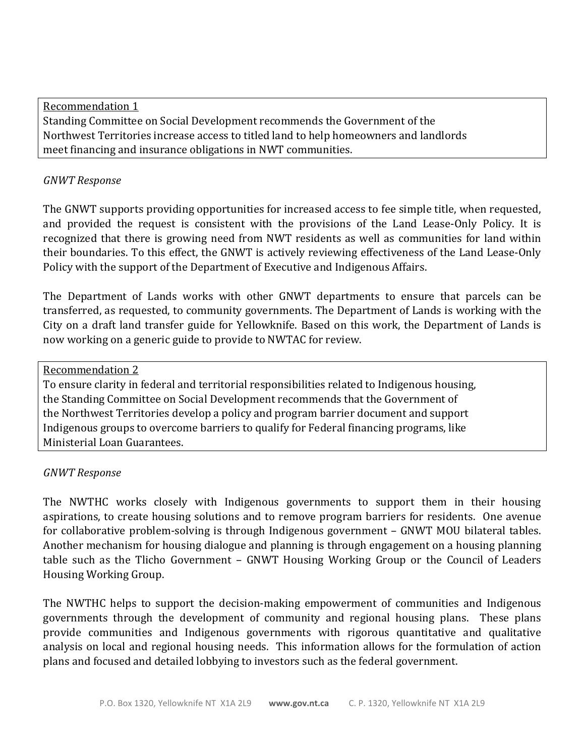Recommendation 1 Standing Committee on Social Development recommends the Government of the Northwest Territories increase access to titled land to help homeowners and landlords meet financing and insurance obligations in NWT communities.

# *GNWT Response*

The GNWT supports providing opportunities for increased access to fee simple title, when requested, and provided the request is consistent with the provisions of the Land Lease-Only Policy. It is recognized that there is growing need from NWT residents as well as communities for land within their boundaries. To this effect, the GNWT is actively reviewing effectiveness of the Land Lease-Only Policy with the support of the Department of Executive and Indigenous Affairs.

The Department of Lands works with other GNWT departments to ensure that parcels can be transferred, as requested, to community governments. The Department of Lands is working with the City on a draft land transfer guide for Yellowknife. Based on this work, the Department of Lands is now working on a generic guide to provide to NWTAC for review.

#### Recommendation 2

To ensure clarity in federal and territorial responsibilities related to Indigenous housing, the Standing Committee on Social Development recommends that the Government of the Northwest Territories develop a policy and program barrier document and support Indigenous groups to overcome barriers to qualify for Federal financing programs, like Ministerial Loan Guarantees.

# *GNWT Response*

The NWTHC works closely with Indigenous governments to support them in their housing aspirations, to create housing solutions and to remove program barriers for residents. One avenue for collaborative problem-solving is through Indigenous government – GNWT MOU bilateral tables. Another mechanism for housing dialogue and planning is through engagement on a housing planning table such as the Tlicho Government – GNWT Housing Working Group or the Council of Leaders Housing Working Group.

The NWTHC helps to support the decision-making empowerment of communities and Indigenous governments through the development of community and regional housing plans. These plans provide communities and Indigenous governments with rigorous quantitative and qualitative analysis on local and regional housing needs. This information allows for the formulation of action plans and focused and detailed lobbying to investors such as the federal government.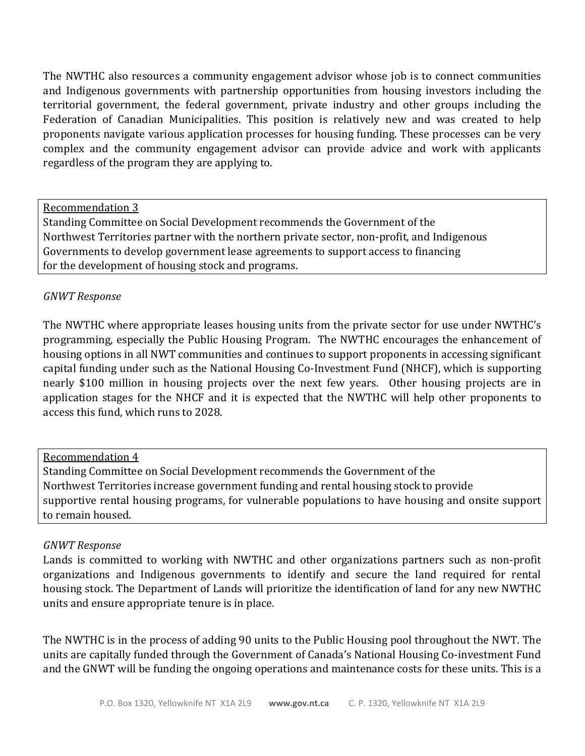The NWTHC also resources a community engagement advisor whose job is to connect communities and Indigenous governments with partnership opportunities from housing investors including the territorial government, the federal government, private industry and other groups including the Federation of Canadian Municipalities. This position is relatively new and was created to help proponents navigate various application processes for housing funding. These processes can be very complex and the community engagement advisor can provide advice and work with applicants regardless of the program they are applying to.

Recommendation 3

Standing Committee on Social Development recommends the Government of the Northwest Territories partner with the northern private sector, non-profit, and Indigenous Governments to develop government lease agreements to support access to financing for the development of housing stock and programs.

# *GNWT Response*

The NWTHC where appropriate leases housing units from the private sector for use under NWTHC's programming, especially the Public Housing Program. The NWTHC encourages the enhancement of housing options in all NWT communities and continues to support proponents in accessing significant capital funding under such as the National Housing Co-Investment Fund (NHCF), which is supporting nearly \$100 million in housing projects over the next few years. Other housing projects are in application stages for the NHCF and it is expected that the NWTHC will help other proponents to access this fund, which runs to 2028.

# Recommendation 4

Standing Committee on Social Development recommends the Government of the Northwest Territories increase government funding and rental housing stock to provide supportive rental housing programs, for vulnerable populations to have housing and onsite support to remain housed.

#### *GNWT Response*

Lands is committed to working with NWTHC and other organizations partners such as non-profit organizations and Indigenous governments to identify and secure the land required for rental housing stock. The Department of Lands will prioritize the identification of land for any new NWTHC units and ensure appropriate tenure is in place.

The NWTHC is in the process of adding 90 units to the Public Housing pool throughout the NWT. The units are capitally funded through the Government of Canada's National Housing Co-investment Fund and the GNWT will be funding the ongoing operations and maintenance costs for these units. This is a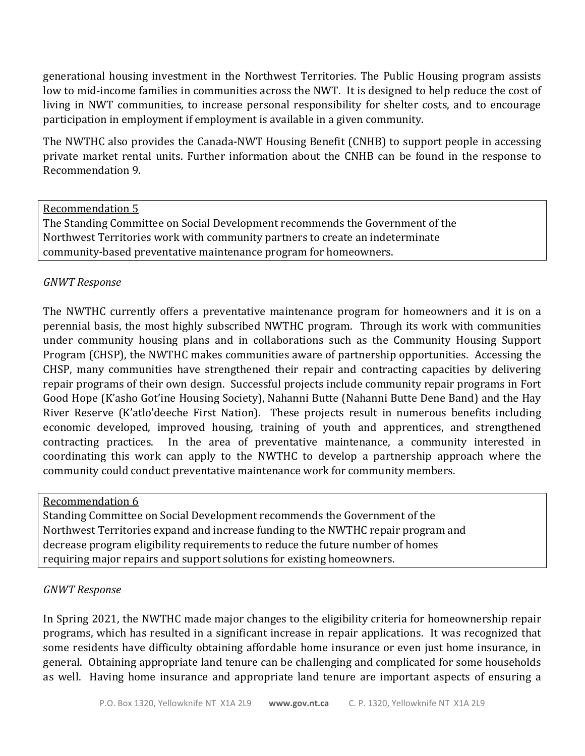generational housing investment in the Northwest Territories. The Public Housing program assists low to mid-income families in communities across the NWT. It is designed to help reduce the cost of living in NWT communities, to increase personal responsibility for shelter costs, and to encourage participation in employment if employment is available in a given community.

The NWTHC also provides the Canada-NWT Housing Benefit (CNHB) to support people in accessing private market rental units. Further information about the CNHB can be found in the response to Recommendation 9.

#### Recommendation 5

The Standing Committee on Social Development recommends the Government of the Northwest Territories work with community partners to create an indeterminate community-based preventative maintenance program for homeowners.

# *GNWT Response*

The NWTHC currently offers a preventative maintenance program for homeowners and it is on a perennial basis, the most highly subscribed NWTHC program. Through its work with communities under community housing plans and in collaborations such as the Community Housing Support Program (CHSP), the NWTHC makes communities aware of partnership opportunities. Accessing the CHSP, many communities have strengthened their repair and contracting capacities by delivering repair programs of their own design. Successful projects include community repair programs in Fort Good Hope (K'asho Got'ine Housing Society), Nahanni Butte (Nahanni Butte Dene Band) and the Hay River Reserve (K'atlo'deeche First Nation). These projects result in numerous benefits including economic developed, improved housing, training of youth and apprentices, and strengthened contracting practices. In the area of preventative maintenance, a community interested in coordinating this work can apply to the NWTHC to develop a partnership approach where the community could conduct preventative maintenance work for community members.

# Recommendation 6

Standing Committee on Social Development recommends the Government of the Northwest Territories expand and increase funding to the NWTHC repair program and decrease program eligibility requirements to reduce the future number of homes requiring major repairs and support solutions for existing homeowners.

# *GNWT Response*

In Spring 2021, the NWTHC made major changes to the eligibility criteria for homeownership repair programs, which has resulted in a significant increase in repair applications. It was recognized that some residents have difficulty obtaining affordable home insurance or even just home insurance, in general. Obtaining appropriate land tenure can be challenging and complicated for some households as well. Having home insurance and appropriate land tenure are important aspects of ensuring a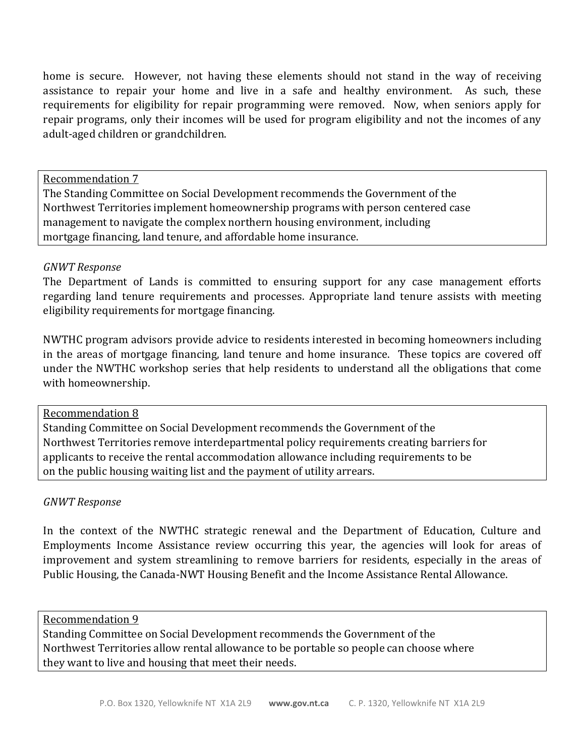home is secure. However, not having these elements should not stand in the way of receiving assistance to repair your home and live in a safe and healthy environment. As such, these requirements for eligibility for repair programming were removed. Now, when seniors apply for repair programs, only their incomes will be used for program eligibility and not the incomes of any adult-aged children or grandchildren.

Recommendation 7

The Standing Committee on Social Development recommends the Government of the Northwest Territories implement homeownership programs with person centered case management to navigate the complex northern housing environment, including mortgage financing, land tenure, and affordable home insurance.

# *GNWT Response*

The Department of Lands is committed to ensuring support for any case management efforts regarding land tenure requirements and processes. Appropriate land tenure assists with meeting eligibility requirements for mortgage financing.

NWTHC program advisors provide advice to residents interested in becoming homeowners including in the areas of mortgage financing, land tenure and home insurance. These topics are covered off under the NWTHC workshop series that help residents to understand all the obligations that come with homeownership.

# Recommendation 8

Standing Committee on Social Development recommends the Government of the Northwest Territories remove interdepartmental policy requirements creating barriers for applicants to receive the rental accommodation allowance including requirements to be on the public housing waiting list and the payment of utility arrears.

# *GNWT Response*

In the context of the NWTHC strategic renewal and the Department of Education, Culture and Employments Income Assistance review occurring this year, the agencies will look for areas of improvement and system streamlining to remove barriers for residents, especially in the areas of Public Housing, the Canada-NWT Housing Benefit and the Income Assistance Rental Allowance.

#### Recommendation 9

Standing Committee on Social Development recommends the Government of the Northwest Territories allow rental allowance to be portable so people can choose where they want to live and housing that meet their needs.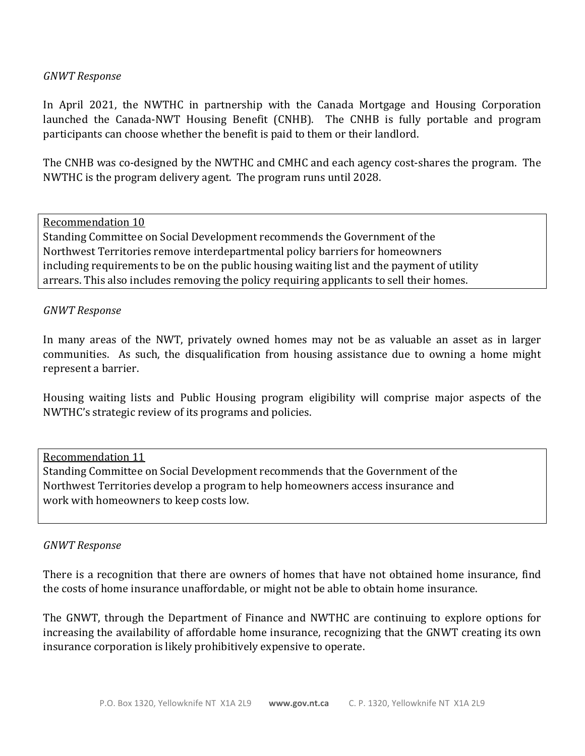#### *GNWT Response*

In April 2021, the NWTHC in partnership with the Canada Mortgage and Housing Corporation launched the Canada-NWT Housing Benefit (CNHB). The CNHB is fully portable and program participants can choose whether the benefit is paid to them or their landlord.

The CNHB was co-designed by the NWTHC and CMHC and each agency cost-shares the program. The NWTHC is the program delivery agent. The program runs until 2028.

Recommendation 10 Standing Committee on Social Development recommends the Government of the Northwest Territories remove interdepartmental policy barriers for homeowners including requirements to be on the public housing waiting list and the payment of utility arrears. This also includes removing the policy requiring applicants to sell their homes.

#### *GNWT Response*

In many areas of the NWT, privately owned homes may not be as valuable an asset as in larger communities. As such, the disqualification from housing assistance due to owning a home might represent a barrier.

Housing waiting lists and Public Housing program eligibility will comprise major aspects of the NWTHC's strategic review of its programs and policies.

#### Recommendation 11

Standing Committee on Social Development recommends that the Government of the Northwest Territories develop a program to help homeowners access insurance and work with homeowners to keep costs low.

#### *GNWT Response*

There is a recognition that there are owners of homes that have not obtained home insurance, find the costs of home insurance unaffordable, or might not be able to obtain home insurance.

The GNWT, through the Department of Finance and NWTHC are continuing to explore options for increasing the availability of affordable home insurance, recognizing that the GNWT creating its own insurance corporation is likely prohibitively expensive to operate.